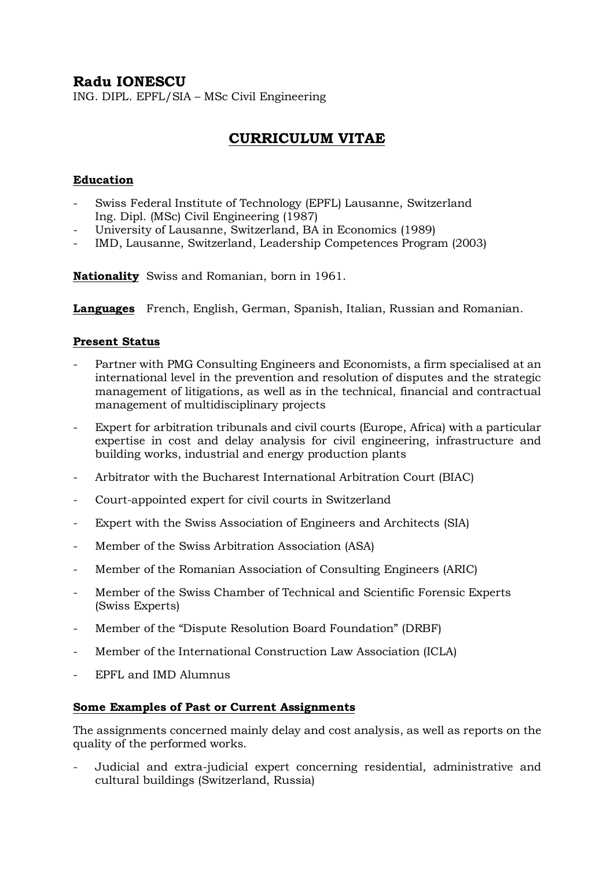# **Radu IONESCU**

ING. DIPL. EPFL/SIA – MSc Civil Engineering

# **CURRICULUM VITAE**

### **Education**

- Swiss Federal Institute of Technology (EPFL) Lausanne, Switzerland Ing. Dipl. (MSc) Civil Engineering (1987)
- University of Lausanne, Switzerland, BA in Economics (1989)
- IMD, Lausanne, Switzerland, Leadership Competences Program (2003)

**Nationality** Swiss and Romanian, born in 1961.

**Languages** French, English, German, Spanish, Italian, Russian and Romanian.

#### **Present Status**

- Partner with PMG Consulting Engineers and Economists, a firm specialised at an international level in the prevention and resolution of disputes and the strategic management of litigations, as well as in the technical, financial and contractual management of multidisciplinary projects
- Expert for arbitration tribunals and civil courts (Europe, Africa) with a particular expertise in cost and delay analysis for civil engineering, infrastructure and building works, industrial and energy production plants
- Arbitrator with the Bucharest International Arbitration Court (BIAC)
- Court-appointed expert for civil courts in Switzerland
- Expert with the Swiss Association of Engineers and Architects (SIA)
- Member of the Swiss Arbitration Association (ASA)
- Member of the Romanian Association of Consulting Engineers (ARIC)
- Member of the Swiss Chamber of Technical and Scientific Forensic Experts (Swiss Experts)
- Member of the "Dispute Resolution Board Foundation" (DRBF)
- Member of the International Construction Law Association (ICLA)
- EPFL and IMD Alumnus

#### **Some Examples of Past or Current Assignments**

The assignments concerned mainly delay and cost analysis, as well as reports on the quality of the performed works.

- Judicial and extra-judicial expert concerning residential, administrative and cultural buildings (Switzerland, Russia)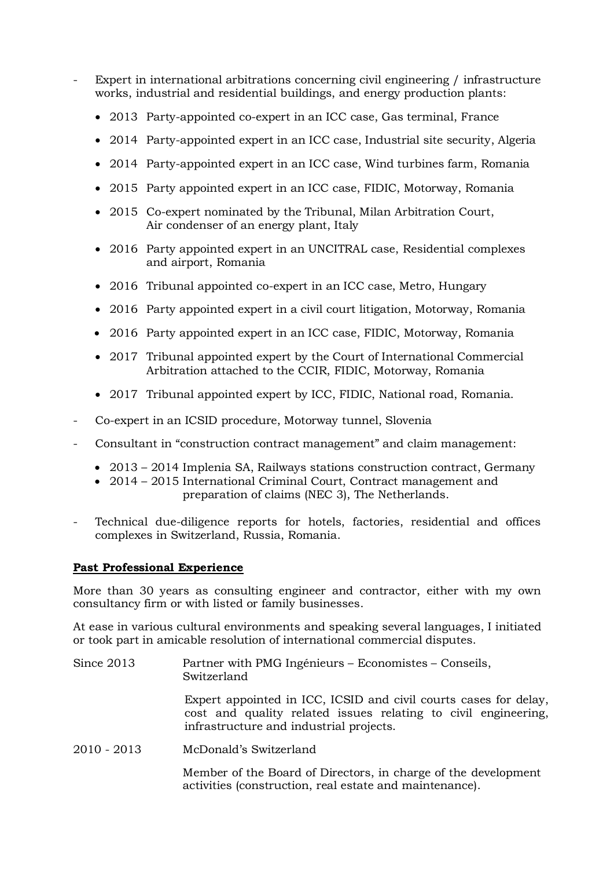- Expert in international arbitrations concerning civil engineering / infrastructure works, industrial and residential buildings, and energy production plants:
	- 2013 Party-appointed co-expert in an ICC case, Gas terminal, France
	- 2014 Party-appointed expert in an ICC case, Industrial site security, Algeria
	- 2014 Party-appointed expert in an ICC case, Wind turbines farm, Romania
	- 2015 Party appointed expert in an ICC case, FIDIC, Motorway, Romania
	- 2015 Co-expert nominated by the Tribunal, Milan Arbitration Court, Air condenser of an energy plant, Italy
	- 2016 Party appointed expert in an UNCITRAL case, Residential complexes and airport, Romania
	- 2016 Tribunal appointed co-expert in an ICC case, Metro, Hungary
	- 2016 Party appointed expert in a civil court litigation, Motorway, Romania
	- 2016 Party appointed expert in an ICC case, FIDIC, Motorway, Romania
	- 2017 Tribunal appointed expert by the Court of International Commercial Arbitration attached to the CCIR, FIDIC, Motorway, Romania
	- 2017 Tribunal appointed expert by ICC, FIDIC, National road, Romania.
- Co-expert in an ICSID procedure, Motorway tunnel, Slovenia
- Consultant in "construction contract management" and claim management:
	- 2013 2014 Implenia SA, Railways stations construction contract, Germany
	- 2014 2015 International Criminal Court, Contract management and preparation of claims (NEC 3), The Netherlands.
- Technical due-diligence reports for hotels, factories, residential and offices complexes in Switzerland, Russia, Romania.

#### **Past Professional Experience**

More than 30 years as consulting engineer and contractor, either with my own consultancy firm or with listed or family businesses.

At ease in various cultural environments and speaking several languages, I initiated or took part in amicable resolution of international commercial disputes.

Since 2013 Partner with PMG Ingénieurs – Economistes – Conseils, Switzerland Expert appointed in ICC, ICSID and civil courts cases for delay, cost and quality related issues relating to civil engineering, infrastructure and industrial projects. 2010 - 2013 McDonald's Switzerland

> Member of the Board of Directors, in charge of the development activities (construction, real estate and maintenance).